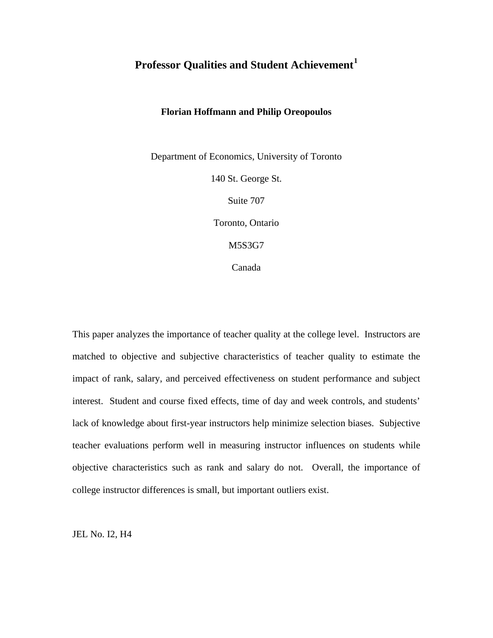# **Professor Qualities and Student Achievement[1](#page-22-0)**

# **Florian Hoffmann and Philip Oreopoulos**

Department of Economics, University of Toronto

140 St. George St.

Suite 707

Toronto, Ontario

M5S3G7

Canada

This paper analyzes the importance of teacher quality at the college level. Instructors are matched to objective and subjective characteristics of teacher quality to estimate the impact of rank, salary, and perceived effectiveness on student performance and subject interest. Student and course fixed effects, time of day and week controls, and students' lack of knowledge about first-year instructors help minimize selection biases. Subjective teacher evaluations perform well in measuring instructor influences on students while objective characteristics such as rank and salary do not. Overall, the importance of college instructor differences is small, but important outliers exist.

JEL No. I2, H4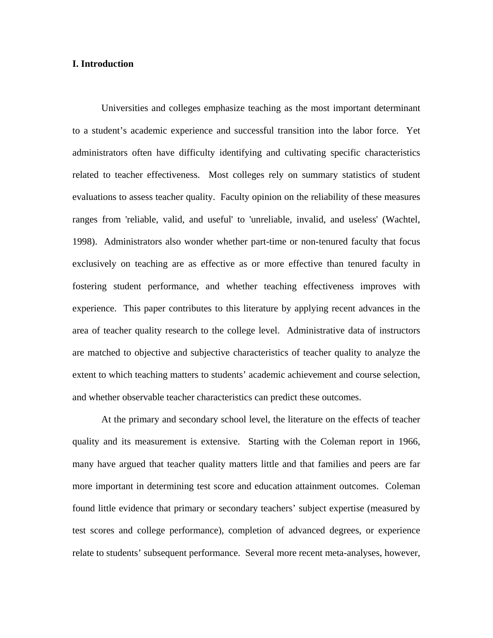# **I. Introduction**

Universities and colleges emphasize teaching as the most important determinant to a student's academic experience and successful transition into the labor force. Yet administrators often have difficulty identifying and cultivating specific characteristics related to teacher effectiveness. Most colleges rely on summary statistics of student evaluations to assess teacher quality. Faculty opinion on the reliability of these measures ranges from 'reliable, valid, and useful' to 'unreliable, invalid, and useless' (Wachtel, 1998). Administrators also wonder whether part-time or non-tenured faculty that focus exclusively on teaching are as effective as or more effective than tenured faculty in fostering student performance, and whether teaching effectiveness improves with experience. This paper contributes to this literature by applying recent advances in the area of teacher quality research to the college level. Administrative data of instructors are matched to objective and subjective characteristics of teacher quality to analyze the extent to which teaching matters to students' academic achievement and course selection, and whether observable teacher characteristics can predict these outcomes.

At the primary and secondary school level, the literature on the effects of teacher quality and its measurement is extensive. Starting with the Coleman report in 1966, many have argued that teacher quality matters little and that families and peers are far more important in determining test score and education attainment outcomes. Coleman found little evidence that primary or secondary teachers' subject expertise (measured by test scores and college performance), completion of advanced degrees, or experience relate to students' subsequent performance. Several more recent meta-analyses, however,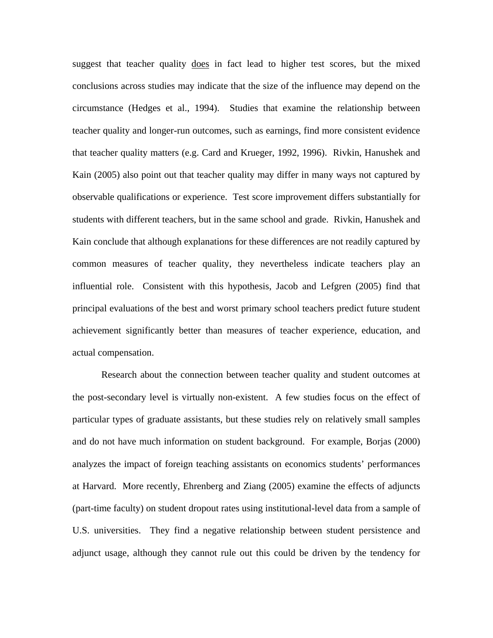suggest that teacher quality does in fact lead to higher test scores, but the mixed conclusions across studies may indicate that the size of the influence may depend on the circumstance (Hedges et al., 1994). Studies that examine the relationship between teacher quality and longer-run outcomes, such as earnings, find more consistent evidence that teacher quality matters (e.g. Card and Krueger, 1992, 1996). Rivkin, Hanushek and Kain (2005) also point out that teacher quality may differ in many ways not captured by observable qualifications or experience. Test score improvement differs substantially for students with different teachers, but in the same school and grade. Rivkin, Hanushek and Kain conclude that although explanations for these differences are not readily captured by common measures of teacher quality, they nevertheless indicate teachers play an influential role. Consistent with this hypothesis, Jacob and Lefgren (2005) find that principal evaluations of the best and worst primary school teachers predict future student achievement significantly better than measures of teacher experience, education, and actual compensation.

 Research about the connection between teacher quality and student outcomes at the post-secondary level is virtually non-existent. A few studies focus on the effect of particular types of graduate assistants, but these studies rely on relatively small samples and do not have much information on student background. For example, Borjas (2000) analyzes the impact of foreign teaching assistants on economics students' performances at Harvard. More recently, Ehrenberg and Ziang (2005) examine the effects of adjuncts (part-time faculty) on student dropout rates using institutional-level data from a sample of U.S. universities. They find a negative relationship between student persistence and adjunct usage, although they cannot rule out this could be driven by the tendency for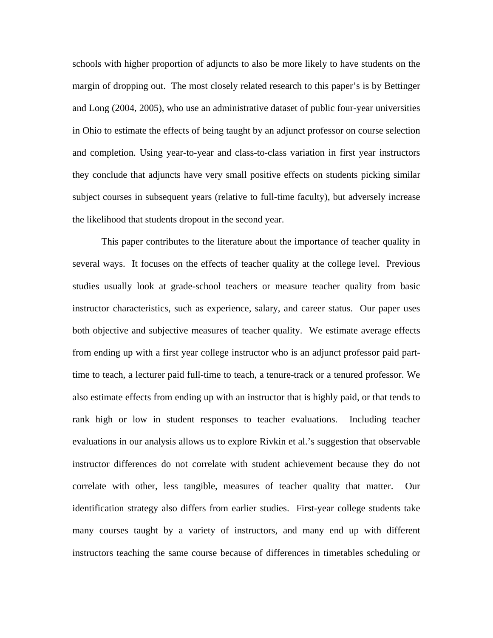schools with higher proportion of adjuncts to also be more likely to have students on the margin of dropping out. The most closely related research to this paper's is by Bettinger and Long (2004, 2005), who use an administrative dataset of public four-year universities in Ohio to estimate the effects of being taught by an adjunct professor on course selection and completion. Using year-to-year and class-to-class variation in first year instructors they conclude that adjuncts have very small positive effects on students picking similar subject courses in subsequent years (relative to full-time faculty), but adversely increase the likelihood that students dropout in the second year.

 This paper contributes to the literature about the importance of teacher quality in several ways. It focuses on the effects of teacher quality at the college level. Previous studies usually look at grade-school teachers or measure teacher quality from basic instructor characteristics, such as experience, salary, and career status. Our paper uses both objective and subjective measures of teacher quality. We estimate average effects from ending up with a first year college instructor who is an adjunct professor paid parttime to teach, a lecturer paid full-time to teach, a tenure-track or a tenured professor. We also estimate effects from ending up with an instructor that is highly paid, or that tends to rank high or low in student responses to teacher evaluations. Including teacher evaluations in our analysis allows us to explore Rivkin et al.'s suggestion that observable instructor differences do not correlate with student achievement because they do not correlate with other, less tangible, measures of teacher quality that matter. Our identification strategy also differs from earlier studies. First-year college students take many courses taught by a variety of instructors, and many end up with different instructors teaching the same course because of differences in timetables scheduling or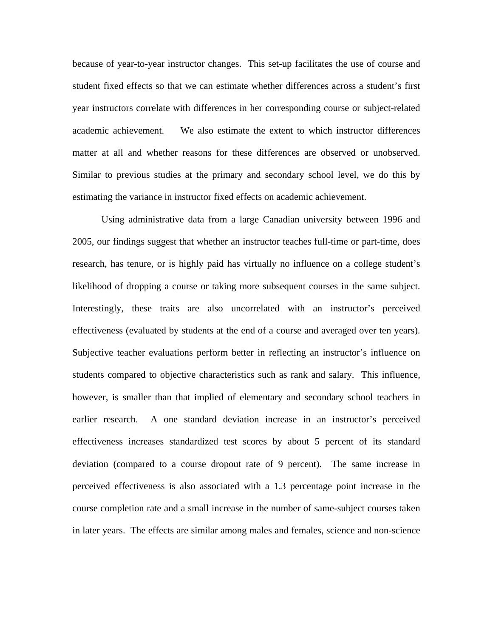because of year-to-year instructor changes. This set-up facilitates the use of course and student fixed effects so that we can estimate whether differences across a student's first year instructors correlate with differences in her corresponding course or subject-related academic achievement. We also estimate the extent to which instructor differences matter at all and whether reasons for these differences are observed or unobserved. Similar to previous studies at the primary and secondary school level, we do this by estimating the variance in instructor fixed effects on academic achievement.

 Using administrative data from a large Canadian university between 1996 and 2005, our findings suggest that whether an instructor teaches full-time or part-time, does research, has tenure, or is highly paid has virtually no influence on a college student's likelihood of dropping a course or taking more subsequent courses in the same subject. Interestingly, these traits are also uncorrelated with an instructor's perceived effectiveness (evaluated by students at the end of a course and averaged over ten years). Subjective teacher evaluations perform better in reflecting an instructor's influence on students compared to objective characteristics such as rank and salary. This influence, however, is smaller than that implied of elementary and secondary school teachers in earlier research. A one standard deviation increase in an instructor's perceived effectiveness increases standardized test scores by about 5 percent of its standard deviation (compared to a course dropout rate of 9 percent). The same increase in perceived effectiveness is also associated with a 1.3 percentage point increase in the course completion rate and a small increase in the number of same-subject courses taken in later years. The effects are similar among males and females, science and non-science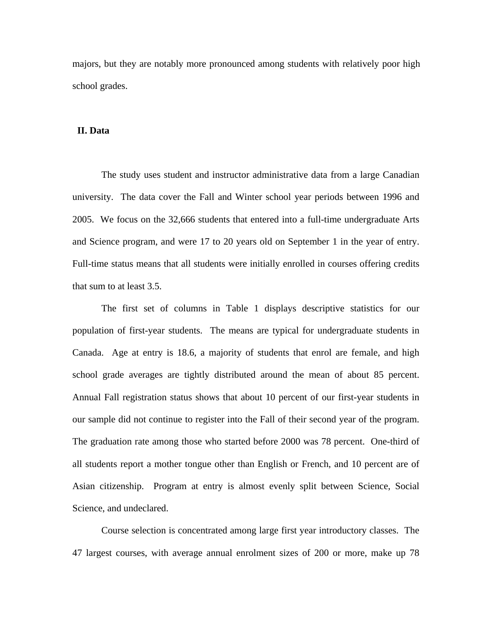majors, but they are notably more pronounced among students with relatively poor high school grades.

## **II. Data**

 The study uses student and instructor administrative data from a large Canadian university. The data cover the Fall and Winter school year periods between 1996 and 2005. We focus on the 32,666 students that entered into a full-time undergraduate Arts and Science program, and were 17 to 20 years old on September 1 in the year of entry. Full-time status means that all students were initially enrolled in courses offering credits that sum to at least 3.5.

The first set of columns in Table 1 displays descriptive statistics for our population of first-year students. The means are typical for undergraduate students in Canada. Age at entry is 18.6, a majority of students that enrol are female, and high school grade averages are tightly distributed around the mean of about 85 percent. Annual Fall registration status shows that about 10 percent of our first-year students in our sample did not continue to register into the Fall of their second year of the program. The graduation rate among those who started before 2000 was 78 percent. One-third of all students report a mother tongue other than English or French, and 10 percent are of Asian citizenship. Program at entry is almost evenly split between Science, Social Science, and undeclared.

Course selection is concentrated among large first year introductory classes. The 47 largest courses, with average annual enrolment sizes of 200 or more, make up 78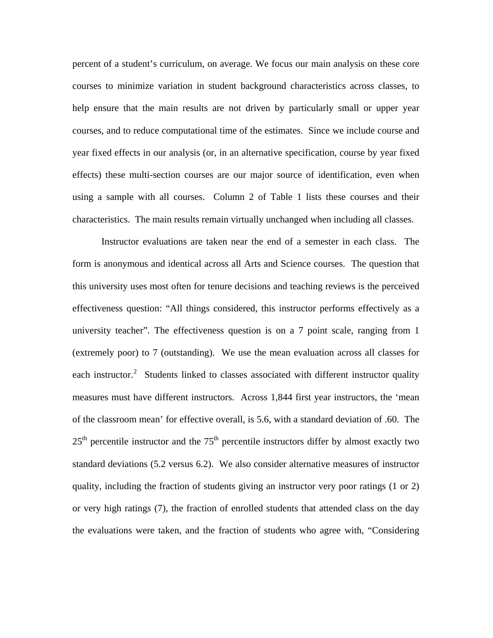percent of a student's curriculum, on average. We focus our main analysis on these core courses to minimize variation in student background characteristics across classes, to help ensure that the main results are not driven by particularly small or upper year courses, and to reduce computational time of the estimates. Since we include course and year fixed effects in our analysis (or, in an alternative specification, course by year fixed effects) these multi-section courses are our major source of identification, even when using a sample with all courses. Column 2 of Table 1 lists these courses and their characteristics. The main results remain virtually unchanged when including all classes.

 Instructor evaluations are taken near the end of a semester in each class. The form is anonymous and identical across all Arts and Science courses. The question that this university uses most often for tenure decisions and teaching reviews is the perceived effectiveness question: "All things considered, this instructor performs effectively as a university teacher". The effectiveness question is on a 7 point scale, ranging from 1 (extremely poor) to 7 (outstanding). We use the mean evaluation across all classes for each instructor.<sup>[2](#page-22-1)</sup> Students linked to classes associated with different instructor quality measures must have different instructors. Across 1,844 first year instructors, the 'mean of the classroom mean' for effective overall, is 5.6, with a standard deviation of .60. The  $25<sup>th</sup>$  percentile instructor and the 75<sup>th</sup> percentile instructors differ by almost exactly two standard deviations (5.2 versus 6.2). We also consider alternative measures of instructor quality, including the fraction of students giving an instructor very poor ratings (1 or 2) or very high ratings (7), the fraction of enrolled students that attended class on the day the evaluations were taken, and the fraction of students who agree with, "Considering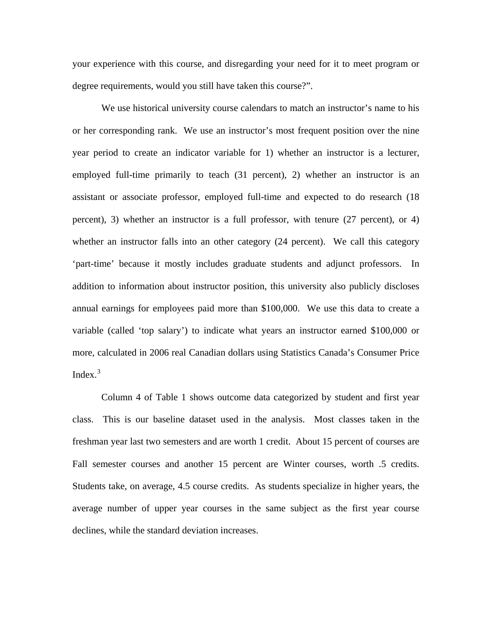your experience with this course, and disregarding your need for it to meet program or degree requirements, would you still have taken this course?".

 We use historical university course calendars to match an instructor's name to his or her corresponding rank. We use an instructor's most frequent position over the nine year period to create an indicator variable for 1) whether an instructor is a lecturer, employed full-time primarily to teach (31 percent), 2) whether an instructor is an assistant or associate professor, employed full-time and expected to do research (18 percent), 3) whether an instructor is a full professor, with tenure (27 percent), or 4) whether an instructor falls into an other category (24 percent). We call this category 'part-time' because it mostly includes graduate students and adjunct professors. In addition to information about instructor position, this university also publicly discloses annual earnings for employees paid more than \$100,000. We use this data to create a variable (called 'top salary') to indicate what years an instructor earned \$100,000 or more, calculated in 2006 real Canadian dollars using Statistics Canada's Consumer Price Index. $3$ 

 Column 4 of Table 1 shows outcome data categorized by student and first year class. This is our baseline dataset used in the analysis. Most classes taken in the freshman year last two semesters and are worth 1 credit. About 15 percent of courses are Fall semester courses and another 15 percent are Winter courses, worth .5 credits. Students take, on average, 4.5 course credits. As students specialize in higher years, the average number of upper year courses in the same subject as the first year course declines, while the standard deviation increases.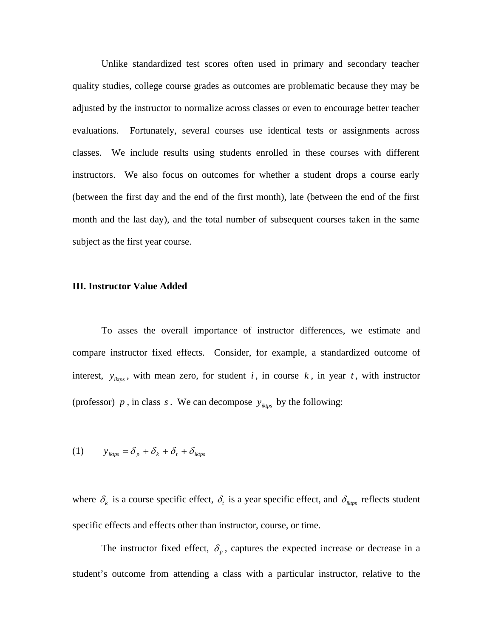Unlike standardized test scores often used in primary and secondary teacher quality studies, college course grades as outcomes are problematic because they may be adjusted by the instructor to normalize across classes or even to encourage better teacher evaluations. Fortunately, several courses use identical tests or assignments across classes. We include results using students enrolled in these courses with different instructors. We also focus on outcomes for whether a student drops a course early (between the first day and the end of the first month), late (between the end of the first month and the last day), and the total number of subsequent courses taken in the same subject as the first year course.

#### **III. Instructor Value Added**

 To asses the overall importance of instructor differences, we estimate and compare instructor fixed effects. Consider, for example, a standardized outcome of interest,  $y_{ikps}$ , with mean zero, for student *i*, in course *k*, in year *t*, with instructor (professor)  $p$ , in class  $s$ . We can decompose  $y_{iktps}$  by the following:

$$
(1) \t yiktps = \delta_p + \delta_k + \delta_t + \deltaiktps
$$

where  $\delta_k$  is a course specific effect,  $\delta_t$  is a year specific effect, and  $\delta_{ikps}$  reflects student specific effects and effects other than instructor, course, or time.

The instructor fixed effect,  $\delta_p$ , captures the expected increase or decrease in a student's outcome from attending a class with a particular instructor, relative to the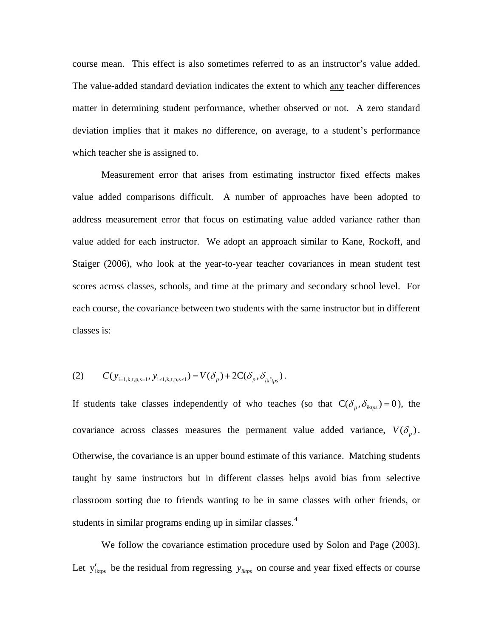course mean. This effect is also sometimes referred to as an instructor's value added. The value-added standard deviation indicates the extent to which any teacher differences matter in determining student performance, whether observed or not. A zero standard deviation implies that it makes no difference, on average, to a student's performance which teacher she is assigned to.

Measurement error that arises from estimating instructor fixed effects makes value added comparisons difficult. A number of approaches have been adopted to address measurement error that focus on estimating value added variance rather than value added for each instructor. We adopt an approach similar to Kane, Rockoff, and Staiger (2006), who look at the year-to-year teacher covariances in mean student test scores across classes, schools, and time at the primary and secondary school level. For each course, the covariance between two students with the same instructor but in different classes is:

(2) 
$$
C(y_{i=1,k,t,p,s=1}, y_{i \neq 1,k,t,p,s\neq 1}) = V(\delta_p) + 2C(\delta_p, \delta_{ik\, p,s}).
$$

If students take classes independently of who teaches (so that  $C(\delta_p, \delta_{iktns}) = 0$ ), the covariance across classes measures the permanent value added variance,  $V(\delta_n)$ . Otherwise, the covariance is an upper bound estimate of this variance. Matching students taught by same instructors but in different classes helps avoid bias from selective classroom sorting due to friends wanting to be in same classes with other friends, or students in similar programs ending up in similar classes.<sup>[4](#page-23-0)</sup>

We follow the covariance estimation procedure used by Solon and Page (2003). Let  $y'_{ikips}$  be the residual from regressing  $y_{ikips}$  on course and year fixed effects or course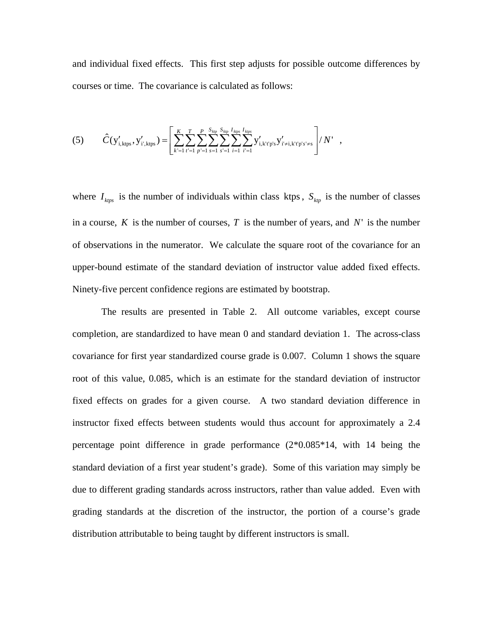and individual fixed effects. This first step adjusts for possible outcome differences by courses or time. The covariance is calculated as follows:

$$
(5) \qquad \hat{C}(y'_{i,\text{ktps}}, y'_{i',\text{ktps}}) = \left[ \sum_{k'=1}^{K} \sum_{t'=1}^{T} \sum_{p'=1}^{P} \sum_{s=1}^{S_{kp}} \sum_{s'=1}^{S_{kp}} \sum_{i=1}^{I_{kps}} \sum_{i'=1}^{I_{kps}} y'_{i,\text{k't'p's}} y'_{i'\neq i,\text{k't'p's'\neq s}} \right] / N' ,
$$

where  $I_{ktps}$  is the number of individuals within class ktps,  $S_{kp}$  is the number of classes in a course,  $K$  is the number of courses,  $T$  is the number of years, and  $N'$  is the number of observations in the numerator. We calculate the square root of the covariance for an upper-bound estimate of the standard deviation of instructor value added fixed effects. Ninety-five percent confidence regions are estimated by bootstrap.

 The results are presented in Table 2. All outcome variables, except course completion, are standardized to have mean 0 and standard deviation 1. The across-class covariance for first year standardized course grade is 0.007. Column 1 shows the square root of this value, 0.085, which is an estimate for the standard deviation of instructor fixed effects on grades for a given course. A two standard deviation difference in instructor fixed effects between students would thus account for approximately a 2.4 percentage point difference in grade performance  $(2*0.085*14, \text{ with } 14 \text{ being the})$ standard deviation of a first year student's grade). Some of this variation may simply be due to different grading standards across instructors, rather than value added. Even with grading standards at the discretion of the instructor, the portion of a course's grade distribution attributable to being taught by different instructors is small.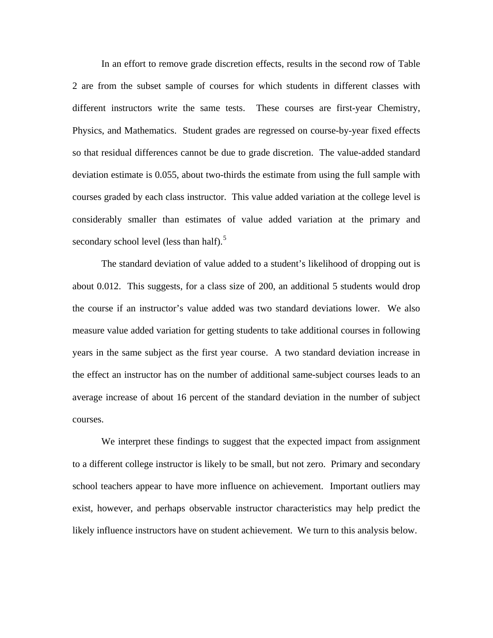In an effort to remove grade discretion effects, results in the second row of Table 2 are from the subset sample of courses for which students in different classes with different instructors write the same tests. These courses are first-year Chemistry, Physics, and Mathematics. Student grades are regressed on course-by-year fixed effects so that residual differences cannot be due to grade discretion. The value-added standard deviation estimate is 0.055, about two-thirds the estimate from using the full sample with courses graded by each class instructor. This value added variation at the college level is considerably smaller than estimates of value added variation at the primary and secondary school level (less than half).<sup>[5](#page-23-0)</sup>

 The standard deviation of value added to a student's likelihood of dropping out is about 0.012. This suggests, for a class size of 200, an additional 5 students would drop the course if an instructor's value added was two standard deviations lower. We also measure value added variation for getting students to take additional courses in following years in the same subject as the first year course. A two standard deviation increase in the effect an instructor has on the number of additional same-subject courses leads to an average increase of about 16 percent of the standard deviation in the number of subject courses.

We interpret these findings to suggest that the expected impact from assignment to a different college instructor is likely to be small, but not zero. Primary and secondary school teachers appear to have more influence on achievement. Important outliers may exist, however, and perhaps observable instructor characteristics may help predict the likely influence instructors have on student achievement. We turn to this analysis below.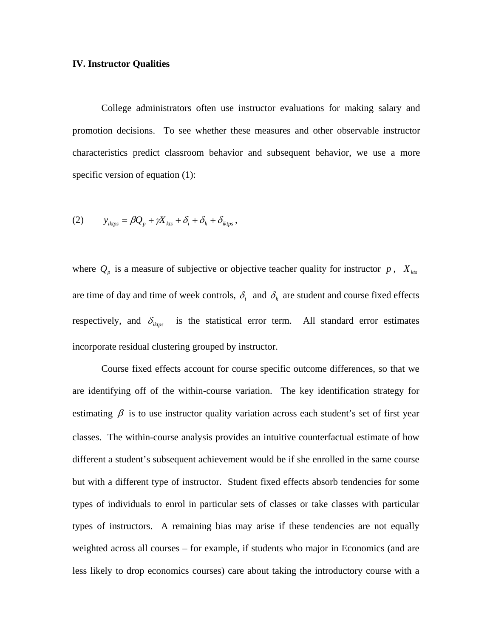## **IV. Instructor Qualities**

 College administrators often use instructor evaluations for making salary and promotion decisions. To see whether these measures and other observable instructor characteristics predict classroom behavior and subsequent behavior, we use a more specific version of equation (1):

(2) 
$$
y_{iktps} = \beta Q_p + \gamma X_{kts} + \delta_i + \delta_k + \delta_{iktps},
$$

where  $Q_p$  is a measure of subjective or objective teacher quality for instructor  $p$ ,  $X_{kts}$ are time of day and time of week controls,  $\delta_i$  and  $\delta_k$  are student and course fixed effects respectively, and  $\delta_{ikpy}$  is the statistical error term. All standard error estimates incorporate residual clustering grouped by instructor.

 Course fixed effects account for course specific outcome differences, so that we are identifying off of the within-course variation. The key identification strategy for estimating  $\beta$  is to use instructor quality variation across each student's set of first year classes. The within-course analysis provides an intuitive counterfactual estimate of how different a student's subsequent achievement would be if she enrolled in the same course but with a different type of instructor. Student fixed effects absorb tendencies for some types of individuals to enrol in particular sets of classes or take classes with particular types of instructors. A remaining bias may arise if these tendencies are not equally weighted across all courses – for example, if students who major in Economics (and are less likely to drop economics courses) care about taking the introductory course with a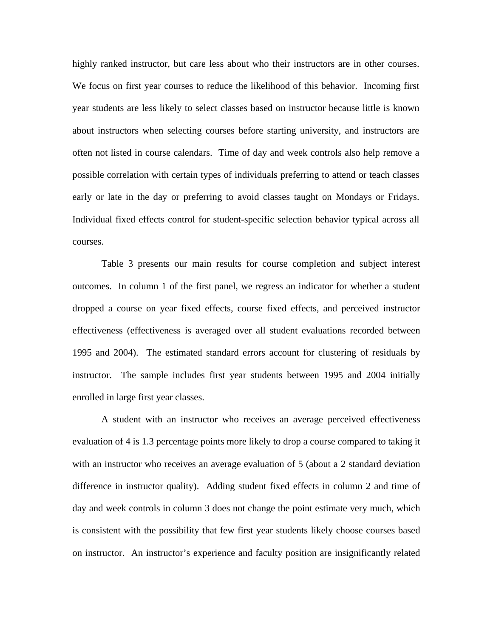highly ranked instructor, but care less about who their instructors are in other courses. We focus on first year courses to reduce the likelihood of this behavior. Incoming first year students are less likely to select classes based on instructor because little is known about instructors when selecting courses before starting university, and instructors are often not listed in course calendars. Time of day and week controls also help remove a possible correlation with certain types of individuals preferring to attend or teach classes early or late in the day or preferring to avoid classes taught on Mondays or Fridays. Individual fixed effects control for student-specific selection behavior typical across all courses.

Table 3 presents our main results for course completion and subject interest outcomes. In column 1 of the first panel, we regress an indicator for whether a student dropped a course on year fixed effects, course fixed effects, and perceived instructor effectiveness (effectiveness is averaged over all student evaluations recorded between 1995 and 2004). The estimated standard errors account for clustering of residuals by instructor. The sample includes first year students between 1995 and 2004 initially enrolled in large first year classes.

 A student with an instructor who receives an average perceived effectiveness evaluation of 4 is 1.3 percentage points more likely to drop a course compared to taking it with an instructor who receives an average evaluation of 5 (about a 2 standard deviation difference in instructor quality). Adding student fixed effects in column 2 and time of day and week controls in column 3 does not change the point estimate very much, which is consistent with the possibility that few first year students likely choose courses based on instructor. An instructor's experience and faculty position are insignificantly related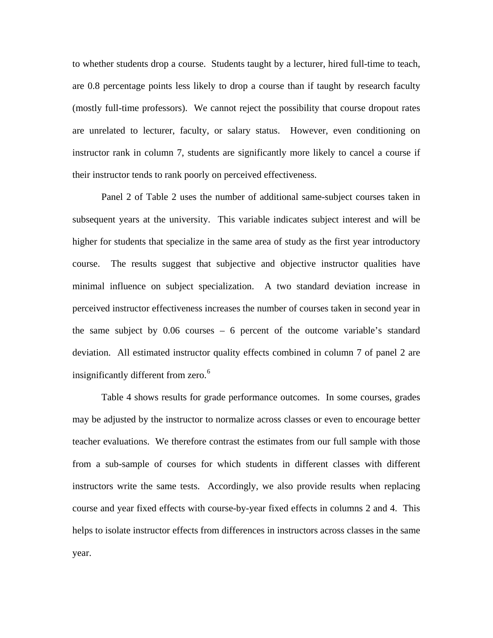to whether students drop a course. Students taught by a lecturer, hired full-time to teach, are 0.8 percentage points less likely to drop a course than if taught by research faculty (mostly full-time professors). We cannot reject the possibility that course dropout rates are unrelated to lecturer, faculty, or salary status. However, even conditioning on instructor rank in column 7, students are significantly more likely to cancel a course if their instructor tends to rank poorly on perceived effectiveness.

 Panel 2 of Table 2 uses the number of additional same-subject courses taken in subsequent years at the university. This variable indicates subject interest and will be higher for students that specialize in the same area of study as the first year introductory course. The results suggest that subjective and objective instructor qualities have minimal influence on subject specialization. A two standard deviation increase in perceived instructor effectiveness increases the number of courses taken in second year in the same subject by 0.06 courses – 6 percent of the outcome variable's standard deviation. All estimated instructor quality effects combined in column 7 of panel 2 are insignificantly different from zero.<sup>[6](#page-23-0)</sup>

 Table 4 shows results for grade performance outcomes. In some courses, grades may be adjusted by the instructor to normalize across classes or even to encourage better teacher evaluations. We therefore contrast the estimates from our full sample with those from a sub-sample of courses for which students in different classes with different instructors write the same tests. Accordingly, we also provide results when replacing course and year fixed effects with course-by-year fixed effects in columns 2 and 4. This helps to isolate instructor effects from differences in instructors across classes in the same year.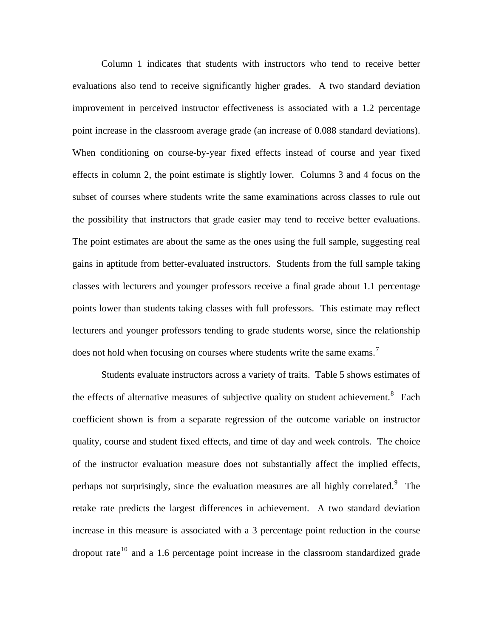Column 1 indicates that students with instructors who tend to receive better evaluations also tend to receive significantly higher grades. A two standard deviation improvement in perceived instructor effectiveness is associated with a 1.2 percentage point increase in the classroom average grade (an increase of 0.088 standard deviations). When conditioning on course-by-year fixed effects instead of course and year fixed effects in column 2, the point estimate is slightly lower. Columns 3 and 4 focus on the subset of courses where students write the same examinations across classes to rule out the possibility that instructors that grade easier may tend to receive better evaluations. The point estimates are about the same as the ones using the full sample, suggesting real gains in aptitude from better-evaluated instructors. Students from the full sample taking classes with lecturers and younger professors receive a final grade about 1.1 percentage points lower than students taking classes with full professors. This estimate may reflect lecturers and younger professors tending to grade students worse, since the relationship does not hold when focusing on courses where students write the same exams.<sup>[7](#page-23-0)</sup>

 Students evaluate instructors across a variety of traits. Table 5 shows estimates of the effects of alternative measures of subjective quality on student achievement.<sup>[8](#page-23-0)</sup> Each coefficient shown is from a separate regression of the outcome variable on instructor quality, course and student fixed effects, and time of day and week controls. The choice of the instructor evaluation measure does not substantially affect the implied effects, perhaps not surprisingly, since the evaluation measures are all highly correlated. <sup>[9](#page-24-0)</sup> The retake rate predicts the largest differences in achievement. A two standard deviation increase in this measure is associated with a 3 percentage point reduction in the course dropout rate<sup>[10](#page-24-0)</sup> and a 1.6 percentage point increase in the classroom standardized grade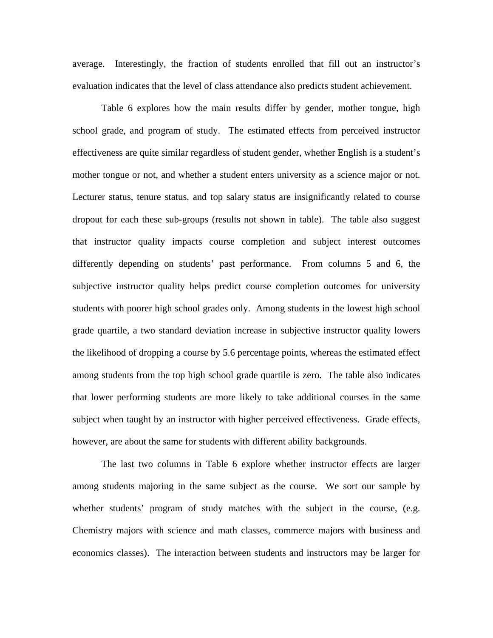average. Interestingly, the fraction of students enrolled that fill out an instructor's evaluation indicates that the level of class attendance also predicts student achievement.

 Table 6 explores how the main results differ by gender, mother tongue, high school grade, and program of study. The estimated effects from perceived instructor effectiveness are quite similar regardless of student gender, whether English is a student's mother tongue or not, and whether a student enters university as a science major or not. Lecturer status, tenure status, and top salary status are insignificantly related to course dropout for each these sub-groups (results not shown in table). The table also suggest that instructor quality impacts course completion and subject interest outcomes differently depending on students' past performance. From columns 5 and 6, the subjective instructor quality helps predict course completion outcomes for university students with poorer high school grades only. Among students in the lowest high school grade quartile, a two standard deviation increase in subjective instructor quality lowers the likelihood of dropping a course by 5.6 percentage points, whereas the estimated effect among students from the top high school grade quartile is zero. The table also indicates that lower performing students are more likely to take additional courses in the same subject when taught by an instructor with higher perceived effectiveness. Grade effects, however, are about the same for students with different ability backgrounds.

 The last two columns in Table 6 explore whether instructor effects are larger among students majoring in the same subject as the course. We sort our sample by whether students' program of study matches with the subject in the course, (e.g. Chemistry majors with science and math classes, commerce majors with business and economics classes). The interaction between students and instructors may be larger for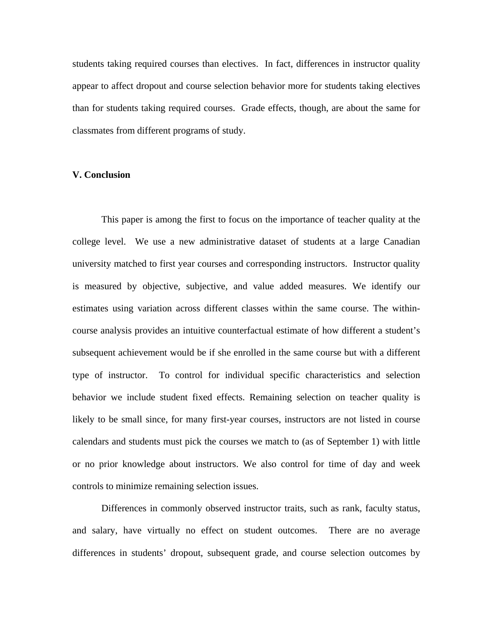students taking required courses than electives. In fact, differences in instructor quality appear to affect dropout and course selection behavior more for students taking electives than for students taking required courses. Grade effects, though, are about the same for classmates from different programs of study.

# **V. Conclusion**

 This paper is among the first to focus on the importance of teacher quality at the college level. We use a new administrative dataset of students at a large Canadian university matched to first year courses and corresponding instructors. Instructor quality is measured by objective, subjective, and value added measures. We identify our estimates using variation across different classes within the same course. The withincourse analysis provides an intuitive counterfactual estimate of how different a student's subsequent achievement would be if she enrolled in the same course but with a different type of instructor. To control for individual specific characteristics and selection behavior we include student fixed effects. Remaining selection on teacher quality is likely to be small since, for many first-year courses, instructors are not listed in course calendars and students must pick the courses we match to (as of September 1) with little or no prior knowledge about instructors. We also control for time of day and week controls to minimize remaining selection issues.

 Differences in commonly observed instructor traits, such as rank, faculty status, and salary, have virtually no effect on student outcomes. There are no average differences in students' dropout, subsequent grade, and course selection outcomes by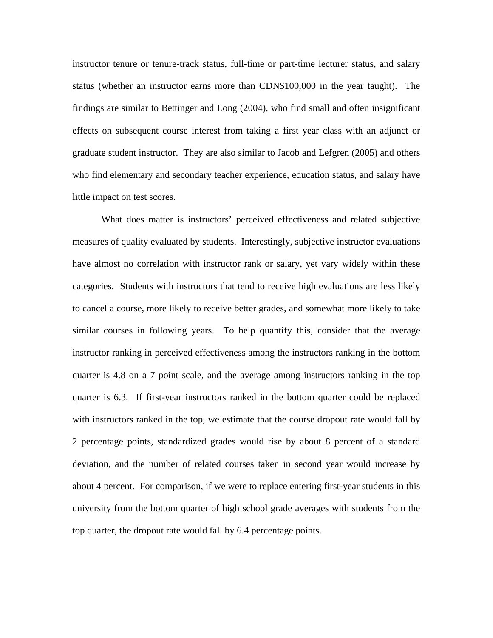instructor tenure or tenure-track status, full-time or part-time lecturer status, and salary status (whether an instructor earns more than CDN\$100,000 in the year taught). The findings are similar to Bettinger and Long (2004), who find small and often insignificant effects on subsequent course interest from taking a first year class with an adjunct or graduate student instructor. They are also similar to Jacob and Lefgren (2005) and others who find elementary and secondary teacher experience, education status, and salary have little impact on test scores.

 What does matter is instructors' perceived effectiveness and related subjective measures of quality evaluated by students. Interestingly, subjective instructor evaluations have almost no correlation with instructor rank or salary, yet vary widely within these categories. Students with instructors that tend to receive high evaluations are less likely to cancel a course, more likely to receive better grades, and somewhat more likely to take similar courses in following years. To help quantify this, consider that the average instructor ranking in perceived effectiveness among the instructors ranking in the bottom quarter is 4.8 on a 7 point scale, and the average among instructors ranking in the top quarter is 6.3. If first-year instructors ranked in the bottom quarter could be replaced with instructors ranked in the top, we estimate that the course dropout rate would fall by 2 percentage points, standardized grades would rise by about 8 percent of a standard deviation, and the number of related courses taken in second year would increase by about 4 percent. For comparison, if we were to replace entering first-year students in this university from the bottom quarter of high school grade averages with students from the top quarter, the dropout rate would fall by 6.4 percentage points.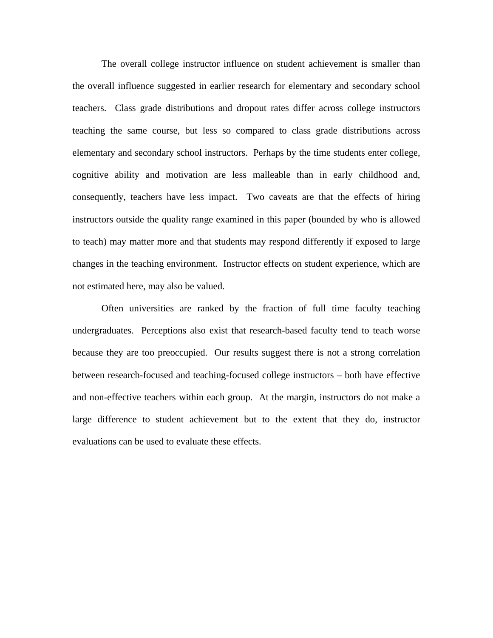The overall college instructor influence on student achievement is smaller than the overall influence suggested in earlier research for elementary and secondary school teachers. Class grade distributions and dropout rates differ across college instructors teaching the same course, but less so compared to class grade distributions across elementary and secondary school instructors. Perhaps by the time students enter college, cognitive ability and motivation are less malleable than in early childhood and, consequently, teachers have less impact. Two caveats are that the effects of hiring instructors outside the quality range examined in this paper (bounded by who is allowed to teach) may matter more and that students may respond differently if exposed to large changes in the teaching environment. Instructor effects on student experience, which are not estimated here, may also be valued.

 Often universities are ranked by the fraction of full time faculty teaching undergraduates. Perceptions also exist that research-based faculty tend to teach worse because they are too preoccupied. Our results suggest there is not a strong correlation between research-focused and teaching-focused college instructors – both have effective and non-effective teachers within each group. At the margin, instructors do not make a large difference to student achievement but to the extent that they do, instructor evaluations can be used to evaluate these effects.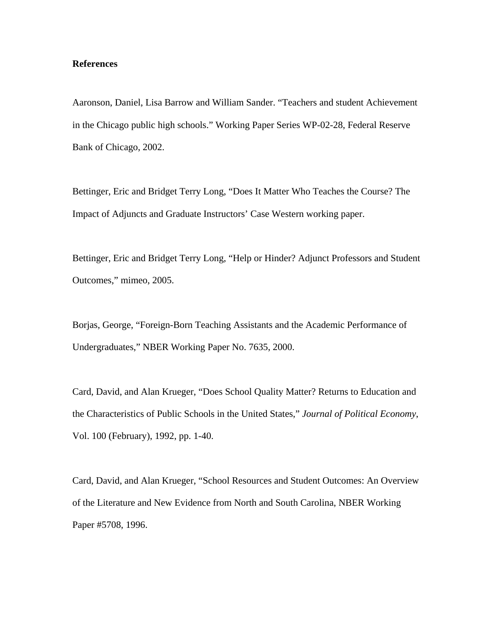# **References**

Aaronson, Daniel, Lisa Barrow and William Sander. "Teachers and student Achievement in the Chicago public high schools." Working Paper Series WP-02-28, Federal Reserve Bank of Chicago, 2002.

Bettinger, Eric and Bridget Terry Long, "Does It Matter Who Teaches the Course? The Impact of Adjuncts and Graduate Instructors' Case Western working paper.

Bettinger, Eric and Bridget Terry Long, "Help or Hinder? Adjunct Professors and Student Outcomes," mimeo, 2005.

Borjas, George, "Foreign-Born Teaching Assistants and the Academic Performance of Undergraduates," NBER Working Paper No. 7635, 2000.

Card, David, and Alan Krueger, "Does School Quality Matter? Returns to Education and the Characteristics of Public Schools in the United States," *Journal of Political Economy*, Vol. 100 (February), 1992, pp. 1-40.

Card, David, and Alan Krueger, "School Resources and Student Outcomes: An Overview of the Literature and New Evidence from North and South Carolina, NBER Working Paper #5708, 1996.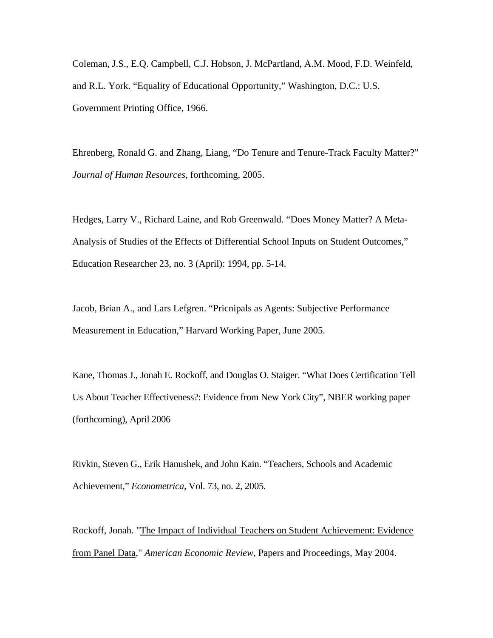Coleman, J.S., E.Q. Campbell, C.J. Hobson, J. McPartland, A.M. Mood, F.D. Weinfeld, and R.L. York. "Equality of Educational Opportunity," Washington, D.C.: U.S. Government Printing Office, 1966.

Ehrenberg, Ronald G. and Zhang, Liang, "Do Tenure and Tenure-Track Faculty Matter?" *Journal of Human Resources*, forthcoming, 2005.

Hedges, Larry V., Richard Laine, and Rob Greenwald. "Does Money Matter? A Meta-Analysis of Studies of the Effects of Differential School Inputs on Student Outcomes," Education Researcher 23, no. 3 (April): 1994, pp. 5-14.

Jacob, Brian A., and Lars Lefgren. "Pricnipals as Agents: Subjective Performance Measurement in Education," Harvard Working Paper, June 2005.

Kane, Thomas J., Jonah E. Rockoff, and Douglas O. Staiger. "What Does Certification Tell Us About Teacher Effectiveness?: Evidence from New York City", NBER working paper (forthcoming), April 2006

Rivkin, Steven G., Erik Hanushek, and John Kain. "Teachers, Schools and Academic Achievement," *Econometrica*, Vol. 73, no. 2, 2005.

Rockoff, Jonah. "The Impact of Individual Teachers on Student Achievement: Evidence from Panel Data," *American Economic Review*, Papers and Proceedings, May 2004.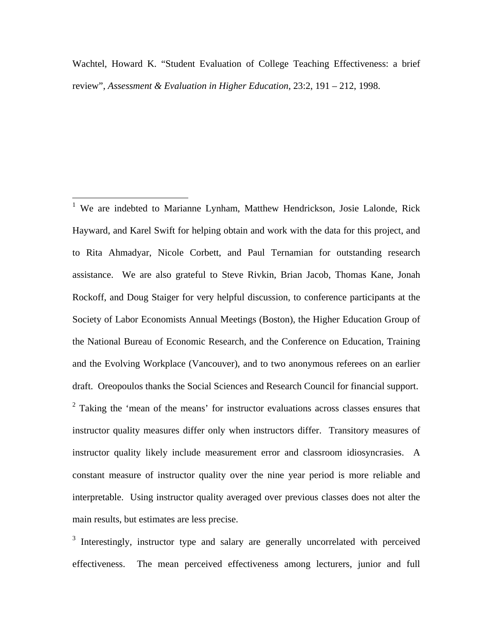<span id="page-22-1"></span>Wachtel, Howard K. "Student Evaluation of College Teaching Effectiveness: a brief review", *Assessment & Evaluation in Higher Education*, 23:2, 191 – 212, 1998.

<span id="page-22-0"></span><sup>1</sup> We are indebted to Marianne Lynham, Matthew Hendrickson, Josie Lalonde, Rick Hayward, and Karel Swift for helping obtain and work with the data for this project, and to Rita Ahmadyar, Nicole Corbett, and Paul Ternamian for outstanding research assistance. We are also grateful to Steve Rivkin, Brian Jacob, Thomas Kane, Jonah Rockoff, and Doug Staiger for very helpful discussion, to conference participants at the Society of Labor Economists Annual Meetings (Boston), the Higher Education Group of the National Bureau of Economic Research, and the Conference on Education, Training and the Evolving Workplace (Vancouver), and to two anonymous referees on an earlier draft. Oreopoulos thanks the Social Sciences and Research Council for financial support.  $2$  Taking the 'mean of the means' for instructor evaluations across classes ensures that instructor quality measures differ only when instructors differ. Transitory measures of instructor quality likely include measurement error and classroom idiosyncrasies. A constant measure of instructor quality over the nine year period is more reliable and interpretable. Using instructor quality averaged over previous classes does not alter the main results, but estimates are less precise.

<sup>3</sup> Interestingly, instructor type and salary are generally uncorrelated with perceived effectiveness. The mean perceived effectiveness among lecturers, junior and full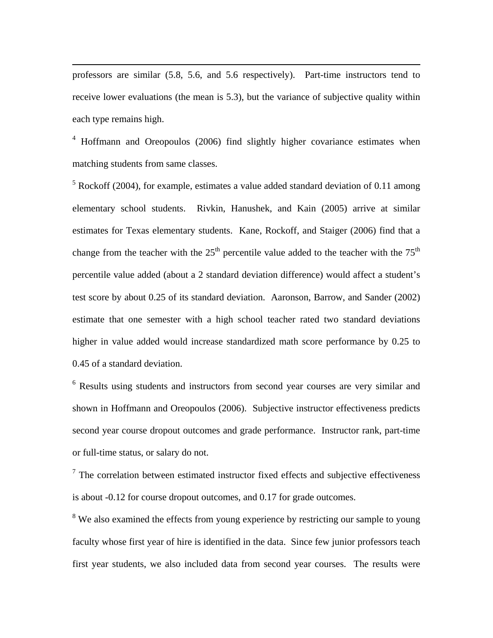professors are similar (5.8, 5.6, and 5.6 respectively). Part-time instructors tend to receive lower evaluations (the mean is 5.3), but the variance of subjective quality within each type remains high.

<span id="page-23-0"></span> $\overline{a}$ 

<sup>4</sup> Hoffmann and Oreopoulos (2006) find slightly higher covariance estimates when matching students from same classes.

 $<sup>5</sup>$  Rockoff (2004), for example, estimates a value added standard deviation of 0.11 among</sup> elementary school students. Rivkin, Hanushek, and Kain (2005) arrive at similar estimates for Texas elementary students. Kane, Rockoff, and Staiger (2006) find that a change from the teacher with the  $25<sup>th</sup>$  percentile value added to the teacher with the  $75<sup>th</sup>$ percentile value added (about a 2 standard deviation difference) would affect a student's test score by about 0.25 of its standard deviation. Aaronson, Barrow, and Sander (2002) estimate that one semester with a high school teacher rated two standard deviations higher in value added would increase standardized math score performance by 0.25 to 0.45 of a standard deviation.

<sup>6</sup> Results using students and instructors from second year courses are very similar and shown in Hoffmann and Oreopoulos (2006). Subjective instructor effectiveness predicts second year course dropout outcomes and grade performance. Instructor rank, part-time or full-time status, or salary do not.

 $7$  The correlation between estimated instructor fixed effects and subjective effectiveness is about -0.12 for course dropout outcomes, and 0.17 for grade outcomes.

<sup>8</sup> We also examined the effects from young experience by restricting our sample to young faculty whose first year of hire is identified in the data. Since few junior professors teach first year students, we also included data from second year courses. The results were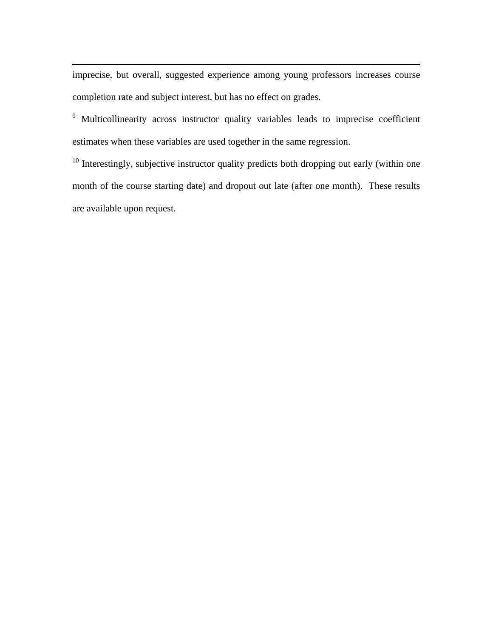<span id="page-24-0"></span>imprecise, but overall, suggested experience among young professors increases course completion rate and subject interest, but has no effect on grades.

 $\overline{a}$ 

<sup>9</sup> Multicollinearity across instructor quality variables leads to imprecise coefficient estimates when these variables are used together in the same regression.

 $10$  Interestingly, subjective instructor quality predicts both dropping out early (within one month of the course starting date) and dropout out late (after one month). These results are available upon request.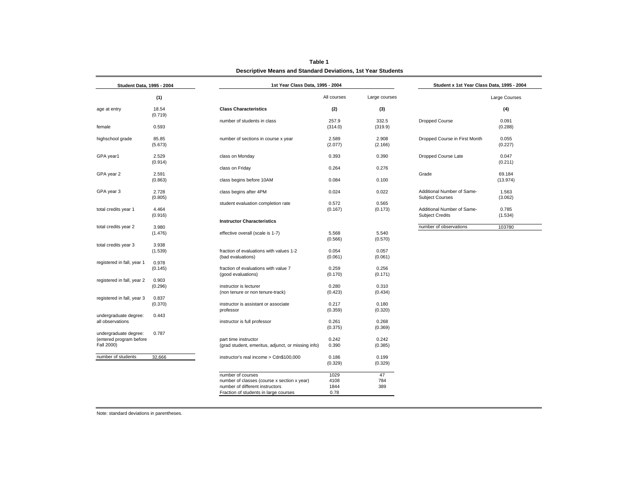| Student Data, 1995 - 2004                                                                                                                                                                                                                                                                                                                                                                                                                                                                                                                                                                                                                                                                                                                                                                                                                                                                                                                                                                                                                                                                                                                                                                                                                                                                                                                                                    |                  |                                         | 1st Year Class Data, 1995 - 2004 |                  |                                                      |                    |  |
|------------------------------------------------------------------------------------------------------------------------------------------------------------------------------------------------------------------------------------------------------------------------------------------------------------------------------------------------------------------------------------------------------------------------------------------------------------------------------------------------------------------------------------------------------------------------------------------------------------------------------------------------------------------------------------------------------------------------------------------------------------------------------------------------------------------------------------------------------------------------------------------------------------------------------------------------------------------------------------------------------------------------------------------------------------------------------------------------------------------------------------------------------------------------------------------------------------------------------------------------------------------------------------------------------------------------------------------------------------------------------|------------------|-----------------------------------------|----------------------------------|------------------|------------------------------------------------------|--------------------|--|
|                                                                                                                                                                                                                                                                                                                                                                                                                                                                                                                                                                                                                                                                                                                                                                                                                                                                                                                                                                                                                                                                                                                                                                                                                                                                                                                                                                              | (1)              |                                         | All courses                      | Large courses    |                                                      | Large Courses      |  |
|                                                                                                                                                                                                                                                                                                                                                                                                                                                                                                                                                                                                                                                                                                                                                                                                                                                                                                                                                                                                                                                                                                                                                                                                                                                                                                                                                                              | 18.54            | <b>Class Characteristics</b>            | (2)                              | (3)              |                                                      | (4)                |  |
|                                                                                                                                                                                                                                                                                                                                                                                                                                                                                                                                                                                                                                                                                                                                                                                                                                                                                                                                                                                                                                                                                                                                                                                                                                                                                                                                                                              | 0.593            | number of students in class             | 257.9<br>(314.0)                 | 332.5<br>(319.9) | Dropped Course                                       | 0.091<br>(0.288)   |  |
|                                                                                                                                                                                                                                                                                                                                                                                                                                                                                                                                                                                                                                                                                                                                                                                                                                                                                                                                                                                                                                                                                                                                                                                                                                                                                                                                                                              | 85.85<br>(5.673) | number of sections in course x year     | 2.589<br>(2.077)                 | 2.908<br>(2.166) | Dropped Course in First Month                        | 0.055<br>(0.227)   |  |
|                                                                                                                                                                                                                                                                                                                                                                                                                                                                                                                                                                                                                                                                                                                                                                                                                                                                                                                                                                                                                                                                                                                                                                                                                                                                                                                                                                              | 2.529            | class on Monday                         | 0.393                            | 0.390            | Dropped Course Late                                  | 0.047<br>(0.211)   |  |
|                                                                                                                                                                                                                                                                                                                                                                                                                                                                                                                                                                                                                                                                                                                                                                                                                                                                                                                                                                                                                                                                                                                                                                                                                                                                                                                                                                              |                  | class on Friday                         | 0.264                            | 0.276            |                                                      |                    |  |
|                                                                                                                                                                                                                                                                                                                                                                                                                                                                                                                                                                                                                                                                                                                                                                                                                                                                                                                                                                                                                                                                                                                                                                                                                                                                                                                                                                              | (0.863)          | class begins before 10AM                | 0.084                            | 0.100            | Grade                                                | 69.184<br>(13.974) |  |
|                                                                                                                                                                                                                                                                                                                                                                                                                                                                                                                                                                                                                                                                                                                                                                                                                                                                                                                                                                                                                                                                                                                                                                                                                                                                                                                                                                              | 2.728            | class begins after 4PM                  | 0.024                            | 0.022            | Additional Number of Same-<br><b>Subject Courses</b> | 1.563<br>(3.062)   |  |
|                                                                                                                                                                                                                                                                                                                                                                                                                                                                                                                                                                                                                                                                                                                                                                                                                                                                                                                                                                                                                                                                                                                                                                                                                                                                                                                                                                              |                  | student evaluation completion rate      | 0.572                            | 0.565            |                                                      |                    |  |
|                                                                                                                                                                                                                                                                                                                                                                                                                                                                                                                                                                                                                                                                                                                                                                                                                                                                                                                                                                                                                                                                                                                                                                                                                                                                                                                                                                              | 4.464            |                                         | (0.167)                          | (0.173)          | Additional Number of Same-                           | 0.785              |  |
|                                                                                                                                                                                                                                                                                                                                                                                                                                                                                                                                                                                                                                                                                                                                                                                                                                                                                                                                                                                                                                                                                                                                                                                                                                                                                                                                                                              |                  |                                         |                                  |                  | <b>Subject Credits</b>                               | (1.534)            |  |
|                                                                                                                                                                                                                                                                                                                                                                                                                                                                                                                                                                                                                                                                                                                                                                                                                                                                                                                                                                                                                                                                                                                                                                                                                                                                                                                                                                              |                  |                                         |                                  |                  | number of observations                               | 103780             |  |
|                                                                                                                                                                                                                                                                                                                                                                                                                                                                                                                                                                                                                                                                                                                                                                                                                                                                                                                                                                                                                                                                                                                                                                                                                                                                                                                                                                              |                  |                                         |                                  |                  |                                                      |                    |  |
|                                                                                                                                                                                                                                                                                                                                                                                                                                                                                                                                                                                                                                                                                                                                                                                                                                                                                                                                                                                                                                                                                                                                                                                                                                                                                                                                                                              |                  |                                         | (0.566)                          | (0.570)          |                                                      |                    |  |
|                                                                                                                                                                                                                                                                                                                                                                                                                                                                                                                                                                                                                                                                                                                                                                                                                                                                                                                                                                                                                                                                                                                                                                                                                                                                                                                                                                              | 3.938            |                                         |                                  |                  |                                                      |                    |  |
|                                                                                                                                                                                                                                                                                                                                                                                                                                                                                                                                                                                                                                                                                                                                                                                                                                                                                                                                                                                                                                                                                                                                                                                                                                                                                                                                                                              | (1.539)          | fraction of evaluations with values 1-2 | 0.054                            | 0.057            |                                                      |                    |  |
|                                                                                                                                                                                                                                                                                                                                                                                                                                                                                                                                                                                                                                                                                                                                                                                                                                                                                                                                                                                                                                                                                                                                                                                                                                                                                                                                                                              |                  |                                         |                                  |                  |                                                      |                    |  |
|                                                                                                                                                                                                                                                                                                                                                                                                                                                                                                                                                                                                                                                                                                                                                                                                                                                                                                                                                                                                                                                                                                                                                                                                                                                                                                                                                                              |                  |                                         |                                  |                  |                                                      |                    |  |
|                                                                                                                                                                                                                                                                                                                                                                                                                                                                                                                                                                                                                                                                                                                                                                                                                                                                                                                                                                                                                                                                                                                                                                                                                                                                                                                                                                              |                  |                                         |                                  |                  |                                                      |                    |  |
|                                                                                                                                                                                                                                                                                                                                                                                                                                                                                                                                                                                                                                                                                                                                                                                                                                                                                                                                                                                                                                                                                                                                                                                                                                                                                                                                                                              |                  |                                         |                                  |                  |                                                      |                    |  |
|                                                                                                                                                                                                                                                                                                                                                                                                                                                                                                                                                                                                                                                                                                                                                                                                                                                                                                                                                                                                                                                                                                                                                                                                                                                                                                                                                                              |                  |                                         |                                  |                  |                                                      |                    |  |
|                                                                                                                                                                                                                                                                                                                                                                                                                                                                                                                                                                                                                                                                                                                                                                                                                                                                                                                                                                                                                                                                                                                                                                                                                                                                                                                                                                              |                  |                                         |                                  |                  |                                                      |                    |  |
|                                                                                                                                                                                                                                                                                                                                                                                                                                                                                                                                                                                                                                                                                                                                                                                                                                                                                                                                                                                                                                                                                                                                                                                                                                                                                                                                                                              | 0.837            |                                         |                                  |                  |                                                      |                    |  |
|                                                                                                                                                                                                                                                                                                                                                                                                                                                                                                                                                                                                                                                                                                                                                                                                                                                                                                                                                                                                                                                                                                                                                                                                                                                                                                                                                                              | (0.370)          | instructor is assistant or associate    | 0.217                            | 0.180            |                                                      |                    |  |
|                                                                                                                                                                                                                                                                                                                                                                                                                                                                                                                                                                                                                                                                                                                                                                                                                                                                                                                                                                                                                                                                                                                                                                                                                                                                                                                                                                              |                  | professor                               | (0.359)                          | (0.320)          |                                                      |                    |  |
|                                                                                                                                                                                                                                                                                                                                                                                                                                                                                                                                                                                                                                                                                                                                                                                                                                                                                                                                                                                                                                                                                                                                                                                                                                                                                                                                                                              |                  |                                         |                                  |                  |                                                      |                    |  |
| age at entry<br>(0.719)<br>female<br>highschool grade<br>GPA year1<br>(0.914)<br>2.591<br>GPA year 2<br>GPA year 3<br>(0.805)<br>total credits year 1<br>(0.916)<br><b>Instructor Characteristics</b><br>total credits year 2<br>3.980<br>effective overall (scale is 1-7)<br>5.568<br>5.540<br>(1.476)<br>total credits year 3<br>(0.061)<br>(bad evaluations)<br>(0.061)<br>registered in fall, year 1<br>0.978<br>0.259<br>0.256<br>(0.145)<br>fraction of evaluations with value 7<br>(0.170)<br>(0.171)<br>(good evaluations)<br>registered in fall, year 2<br>0.903<br>0.280<br>0.310<br>(0.296)<br>instructor is lecturer<br>(non tenure or non tenure-track)<br>(0.423)<br>(0.434)<br>registered in fall, year 3<br>undergraduate degree:<br>0.443<br>0.261<br>0.268<br>all observations<br>instructor is full professor<br>(0.375)<br>(0.369)<br>0.787<br>undergraduate degree:<br>(entered program before<br>0.242<br>0.242<br>part time instructor<br>Fall 2000)<br>0.390<br>(grad student, emeritus, adjunct, or missing info)<br>(0.385)<br>number of students<br>32,666<br>0.199<br>instructor's real income > Cdn\$100,000<br>0.186<br>(0.329)<br>(0.329)<br>1029<br>47<br>number of courses<br>4108<br>784<br>number of classes (course x section x year)<br>389<br>1844<br>number of different instructors<br>Fraction of students in large courses<br>0.78 |                  |                                         |                                  |                  |                                                      |                    |  |
|                                                                                                                                                                                                                                                                                                                                                                                                                                                                                                                                                                                                                                                                                                                                                                                                                                                                                                                                                                                                                                                                                                                                                                                                                                                                                                                                                                              |                  |                                         |                                  |                  |                                                      |                    |  |
|                                                                                                                                                                                                                                                                                                                                                                                                                                                                                                                                                                                                                                                                                                                                                                                                                                                                                                                                                                                                                                                                                                                                                                                                                                                                                                                                                                              |                  |                                         |                                  |                  |                                                      |                    |  |
|                                                                                                                                                                                                                                                                                                                                                                                                                                                                                                                                                                                                                                                                                                                                                                                                                                                                                                                                                                                                                                                                                                                                                                                                                                                                                                                                                                              |                  |                                         |                                  |                  |                                                      |                    |  |
|                                                                                                                                                                                                                                                                                                                                                                                                                                                                                                                                                                                                                                                                                                                                                                                                                                                                                                                                                                                                                                                                                                                                                                                                                                                                                                                                                                              |                  |                                         |                                  |                  |                                                      |                    |  |
|                                                                                                                                                                                                                                                                                                                                                                                                                                                                                                                                                                                                                                                                                                                                                                                                                                                                                                                                                                                                                                                                                                                                                                                                                                                                                                                                                                              |                  |                                         |                                  |                  |                                                      |                    |  |
|                                                                                                                                                                                                                                                                                                                                                                                                                                                                                                                                                                                                                                                                                                                                                                                                                                                                                                                                                                                                                                                                                                                                                                                                                                                                                                                                                                              |                  |                                         |                                  |                  |                                                      |                    |  |
|                                                                                                                                                                                                                                                                                                                                                                                                                                                                                                                                                                                                                                                                                                                                                                                                                                                                                                                                                                                                                                                                                                                                                                                                                                                                                                                                                                              |                  |                                         |                                  |                  |                                                      |                    |  |
|                                                                                                                                                                                                                                                                                                                                                                                                                                                                                                                                                                                                                                                                                                                                                                                                                                                                                                                                                                                                                                                                                                                                                                                                                                                                                                                                                                              |                  |                                         |                                  |                  |                                                      |                    |  |
|                                                                                                                                                                                                                                                                                                                                                                                                                                                                                                                                                                                                                                                                                                                                                                                                                                                                                                                                                                                                                                                                                                                                                                                                                                                                                                                                                                              |                  |                                         |                                  |                  |                                                      |                    |  |
|                                                                                                                                                                                                                                                                                                                                                                                                                                                                                                                                                                                                                                                                                                                                                                                                                                                                                                                                                                                                                                                                                                                                                                                                                                                                                                                                                                              |                  |                                         |                                  |                  |                                                      |                    |  |

**Table 1 Descriptive Means and Standard Deviations, 1st Year Students**

Note: standard deviations in parentheses.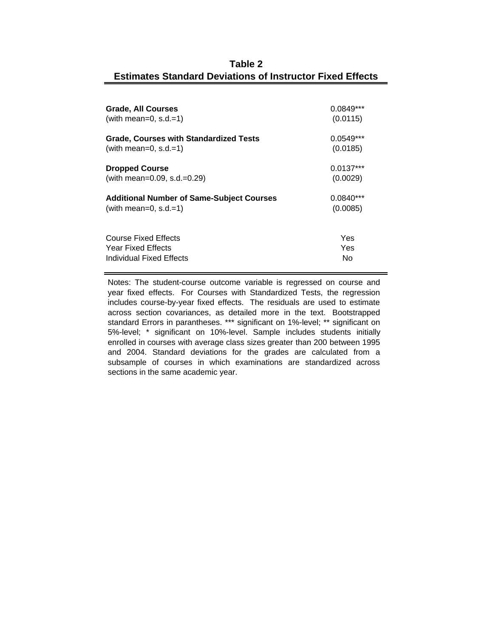# **Table 2 Estimates Standard Deviations of Instructor Fixed Effects**

| <b>Grade, All Courses</b>                        | $0.0849***$ |
|--------------------------------------------------|-------------|
| (with mean=0, $s.d.=1$ )                         | (0.0115)    |
| Grade, Courses with Standardized Tests           | $0.0549***$ |
| (with mean=0, s.d.=1)                            | (0.0185)    |
| <b>Dropped Course</b>                            | $0.0137***$ |
| (with mean=0.09, s.d.=0.29)                      | (0.0029)    |
| <b>Additional Number of Same-Subject Courses</b> | $0.0840***$ |
| (with mean=0, s.d.=1)                            | (0.0085)    |
| Course Fixed Effects                             | Yes         |
| <b>Year Fixed Effects</b>                        | Yes         |
| Individual Fixed Effects                         | No          |

Notes: The student-course outcome variable is regressed on course and year fixed effects. For Courses with Standardized Tests, the regression includes course-by-year fixed effects. The residuals are used to estimate across section covariances, as detailed more in the text. Bootstrapped standard Errors in parantheses. \*\*\* significant on 1%-level; \*\* significant on 5%-level; \* significant on 10%-level. Sample includes students initially enrolled in courses with average class sizes greater than 200 between 1995 and 2004. Standard deviations for the grades are calculated from a subsample of courses in which examinations are standardized across sections in the same academic year.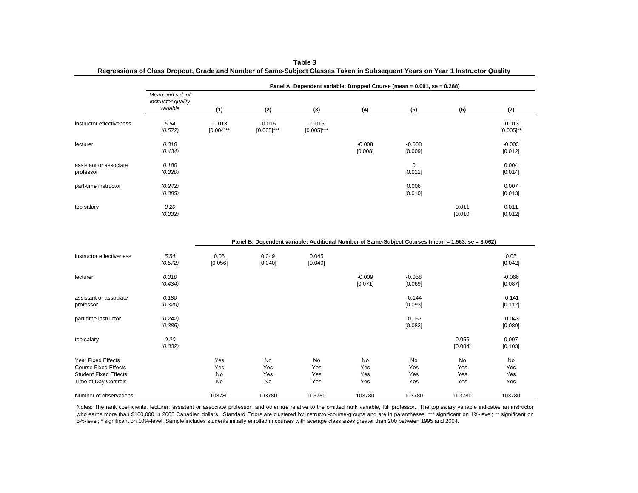|                                                                                                           |                                                    |                            |                           | Panel A: Dependent variable: Dropped Course (mean = 0.091, se = 0.288)                                                |                         |                         |                         |                            |
|-----------------------------------------------------------------------------------------------------------|----------------------------------------------------|----------------------------|---------------------------|-----------------------------------------------------------------------------------------------------------------------|-------------------------|-------------------------|-------------------------|----------------------------|
|                                                                                                           | Mean and s.d. of<br>instructor quality<br>variable | (1)                        | (2)                       | (3)                                                                                                                   | (4)                     | (5)                     | (6)                     | (7)                        |
| instructor effectiveness                                                                                  | 5.54<br>(0.572)                                    | $-0.013$<br>$[0.004]^{**}$ | $-0.016$<br>$[0.005]$ *** | $-0.015$<br>$[0.005]$ ***                                                                                             |                         |                         |                         | $-0.013$<br>$[0.005]^{**}$ |
| lecturer                                                                                                  | 0.310<br>(0.434)                                   |                            |                           |                                                                                                                       | $-0.008$<br>[0.008]     | $-0.008$<br>[0.009]     |                         | $-0.003$<br>[0.012]        |
| assistant or associate<br>professor                                                                       | 0.180<br>(0.320)                                   |                            |                           |                                                                                                                       |                         | $\mathbf 0$<br>[0.011]  |                         | 0.004<br>[0.014]           |
| part-time instructor                                                                                      | (0.242)<br>(0.385)                                 |                            |                           |                                                                                                                       |                         | 0.006<br>[0.010]        |                         | 0.007<br>[0.013]           |
| top salary                                                                                                | 0.20<br>(0.332)                                    |                            |                           |                                                                                                                       |                         |                         | 0.011<br>[0.010]        | 0.011<br>[0.012]           |
| instructor effectiveness                                                                                  | 5.54<br>(0.572)                                    | 0.05<br>[0.056]            | 0.049<br>[0.040]          | Panel B: Dependent variable: Additional Number of Same-Subject Courses (mean = 1.563, se = 3.062)<br>0.045<br>[0.040] |                         |                         |                         | 0.05<br>[0.042]            |
| lecturer                                                                                                  | 0.310<br>(0.434)                                   |                            |                           |                                                                                                                       | $-0.009$<br>[0.071]     | $-0.058$<br>[0.069]     |                         | $-0.066$<br>[0.087]        |
| assistant or associate<br>professor                                                                       | 0.180<br>(0.320)                                   |                            |                           |                                                                                                                       |                         | $-0.144$<br>[0.093]     |                         | $-0.141$<br>[0.112]        |
| part-time instructor                                                                                      | (0.242)<br>(0.385)                                 |                            |                           |                                                                                                                       |                         | $-0.057$<br>[0.082]     |                         | $-0.043$<br>[0.089]        |
| top salary                                                                                                | 0.20<br>(0.332)                                    |                            |                           |                                                                                                                       |                         |                         | 0.056<br>[0.084]        | 0.007<br>[0.103]           |
| Year Fixed Effects<br><b>Course Fixed Effects</b><br><b>Student Fixed Effects</b><br>Time of Day Controls |                                                    | Yes<br>Yes<br>No<br>No     | No<br>Yes<br>Yes<br>No    | No<br>Yes<br>Yes<br>Yes                                                                                               | No<br>Yes<br>Yes<br>Yes | No<br>Yes<br>Yes<br>Yes | No<br>Yes<br>Yes<br>Yes | No<br>Yes<br>Yes<br>Yes    |
| Number of observations                                                                                    |                                                    | 103780                     | 103780                    | 103780                                                                                                                | 103780                  | 103780                  | 103780                  | 103780                     |

| Table 3                                                                                                                       |  |  |  |  |  |  |  |  |
|-------------------------------------------------------------------------------------------------------------------------------|--|--|--|--|--|--|--|--|
| Regressions of Class Dropout, Grade and Number of Same-Subject Classes Taken in Subsequent Years on Year 1 Instructor Quality |  |  |  |  |  |  |  |  |

Notes: The rank coefficients, lecturer, assistant or associate professor, and other are relative to the omitted rank variable, full professor. The top salary variable indicates an instructor who earns more than \$100,000 in 2005 Canadian dollars. Standard Errors are clustered by instructor-course-groups and are in parantheses. \*\*\* significant on 1%-level; \*\* significant on 5%-level; \* significant on 10%-level. Sample includes students initially enrolled in courses with average class sizes greater than 200 between 1995 and 2004.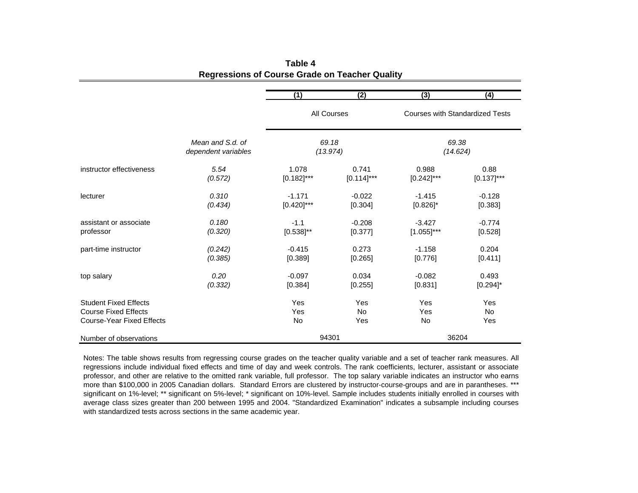|                                  |                                         | (1)                | (2)               | (3)                                                         | (4)           |  |
|----------------------------------|-----------------------------------------|--------------------|-------------------|-------------------------------------------------------------|---------------|--|
|                                  |                                         | <b>All Courses</b> |                   | <b>Courses with Standardized Tests</b><br>69.38<br>(14.624) |               |  |
|                                  | Mean and S.d. of<br>dependent variables |                    | 69.18<br>(13.974) |                                                             |               |  |
| instructor effectiveness         | 5.54                                    | 1.078              | 0.741             | 0.988                                                       | 0.88          |  |
|                                  | (0.572)                                 | $[0.182]$ ***      | $[0.114]$ ***     | $[0.242]$ ***                                               | $[0.137]$ *** |  |
| lecturer                         | 0.310                                   | $-1.171$           | $-0.022$          | $-1.415$                                                    | $-0.128$      |  |
|                                  | (0.434)                                 | $[0.420]$ ***      | [0.304]           | $[0.826]$ *                                                 | [0.383]       |  |
| assistant or associate           | 0.180                                   | $-1.1$             | $-0.208$          | $-3.427$                                                    | $-0.774$      |  |
| professor                        | (0.320)                                 | $[0.538]^{**}$     | [0.377]           | $[1.055]$ ***                                               | [0.528]       |  |
| part-time instructor             | (0.242)                                 | $-0.415$           | 0.273             | $-1.158$                                                    | 0.204         |  |
|                                  | (0.385)                                 | [0.389]            | [0.265]           | [0.776]                                                     | [0.411]       |  |
| top salary                       | 0.20                                    | $-0.097$           | 0.034             | $-0.082$                                                    | 0.493         |  |
|                                  | (0.332)                                 | [0.384]            | [0.255]           | [0.831]                                                     | $[0.294]$ *   |  |
| <b>Student Fixed Effects</b>     |                                         | Yes                | Yes               | Yes                                                         | Yes           |  |
| <b>Course Fixed Effects</b>      |                                         | Yes                | No                | Yes                                                         | No            |  |
| <b>Course-Year Fixed Effects</b> |                                         | No                 | Yes               | No                                                          | Yes           |  |
| Number of observations           |                                         | 94301              |                   |                                                             | 36204         |  |

**Table 4Regressions of Course Grade on Teacher Quality**

Notes: The table shows results from regressing course grades on the teacher quality variable and <sup>a</sup> set of teacher rank measures. All regressions include individual fixed effects and time of day and week controls. The rank coefficients, lecturer, assistant or associate professor, and other are relative to the omitted rank variable, full professor. The top salary variable indicates an instructor who earns more than \$100,000 in 2005 Canadian dollars. Standard Errors are clustered by instructor-course-groups and are in parantheses. \*\*\* significant on 1%-level; \*\* significant on 5%-level; \* significant on 10%-level. Sample includes students initially enrolled in courses with average class sizes greater than 200 between 1995 and 2004. "Standardized Examination" indicates <sup>a</sup> subsample including courses with standardized tests across sections in the same academic year.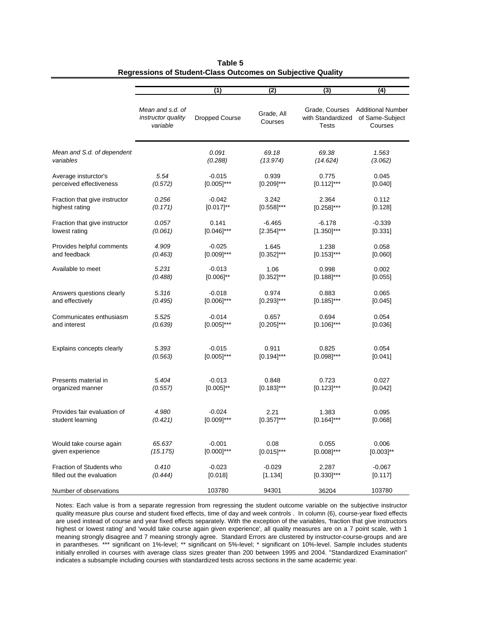|                               |                                                    | (1)                   | (2)                   | (3)                                                 | (4)                                                    |
|-------------------------------|----------------------------------------------------|-----------------------|-----------------------|-----------------------------------------------------|--------------------------------------------------------|
|                               | Mean and s.d. of<br>instructor quality<br>variable | <b>Dropped Course</b> | Grade, All<br>Courses | Grade, Courses<br>with Standardized<br><b>Tests</b> | <b>Additional Number</b><br>of Same-Subject<br>Courses |
| Mean and S.d. of dependent    |                                                    | 0.091                 | 69.18                 | 69.38                                               | 1.563                                                  |
| variables                     |                                                    | (0.288)               | (13.974)              | (14.624)                                            | (3.062)                                                |
| Average insturctor's          | 5.54                                               | $-0.015$              | 0.939                 | 0.775                                               | 0.045                                                  |
| perceived effectiveness       | (0.572)                                            | $[0.005]$ ***         | $[0.209]$ ***         | $[0.112]$ ***                                       | [0.040]                                                |
| Fraction that give instructor | 0.256                                              | $-0.042$              | 3.242                 | 2.364                                               | 0.112                                                  |
| highest rating                | (0.171)                                            | $[0.017]^{**}$        | $[0.558]$ ***         | $[0.258]$ ***                                       | [0.128]                                                |
| Fraction that give instructor | 0.057                                              | 0.141                 | $-6.465$              | $-6.178$                                            | $-0.339$                                               |
| lowest rating                 | (0.061)                                            | $[0.046]$ ***         | $[2.354]$ ***         | $[1.350]$ ***                                       | [0.331]                                                |
| Provides helpful comments     | 4.909                                              | $-0.025$              | 1.645                 | 1.238                                               | 0.058                                                  |
| and feedback                  | (0.463)                                            | $[0.009]$ ***         | $[0.352]$ ***         | $[0.153]$ ***                                       | [0.060]                                                |
| Available to meet             | 5.231                                              | $-0.013$              | 1.06                  | 0.998                                               | 0.002                                                  |
|                               | (0.488)                                            | $[0.006]^{**}$        | $[0.352]$ ***         | $[0.188]$ ***                                       | [0.055]                                                |
| Answers questions clearly     | 5.316                                              | $-0.018$              | 0.974                 | 0.883                                               | 0.065                                                  |
| and effectively               | (0.495)                                            | $[0.006]$ ***         | $[0.293]$ ***         | $[0.185]$ ***                                       | [0.045]                                                |
| Communicates enthusiasm       | 5.525                                              | $-0.014$              | 0.657                 | 0.694                                               | 0.054                                                  |
| and interest                  | (0.639)                                            | $[0.005]$ ***         | $[0.205]$ ***         | $[0.106]$ ***                                       | [0.036]                                                |
| Explains concepts clearly     | 5.393                                              | $-0.015$              | 0.911                 | 0.825                                               | 0.054                                                  |
|                               | (0.563)                                            | $[0.005]$ ***         | $[0.194]$ ***         | $[0.098]$ ***                                       | [0.041]                                                |
| Presents material in          | 5.404                                              | $-0.013$              | 0.848                 | 0.723                                               | 0.027                                                  |
| organized manner              | (0.557)                                            | $[0.005]^{**}$        | $[0.183]$ ***         | $[0.123]$ ***                                       | [0.042]                                                |
| Provides fair evaluation of   | 4.980                                              | $-0.024$              | 2.21                  | 1.383                                               | 0.095                                                  |
| student learning              | (0.421)                                            | $[0.009]$ ***         | $[0.357]$ ***         | $[0.164]$ ***                                       | [0.068]                                                |
| Would take course again       | 65.637                                             | $-0.001$              | 0.08                  | 0.055                                               | 0.006                                                  |
| given experience              | (15.175)                                           | $[0.000]$ ***         | $[0.015]$ ***         | $[0.008]^{***}$                                     | $[0.003]^{**}$                                         |
| Fraction of Students who      | 0.410                                              | $-0.023$              | $-0.029$              | 2.287                                               | $-0.067$                                               |
| filled out the evaluation     | (0.444)                                            | [0.018]               | [1.134]               | $[0.330]$ ***                                       | [0.117]                                                |
| Number of observations        |                                                    | 103780                | 94301                 | 36204                                               | 103780                                                 |

**Table 5 Regressions of Student-Class Outcomes on Subjective Quality**

Notes: Each value is from a separate regression from regressing the student outcome variable on the subjective instructor quality measure plus course and student fixed effects, time of day and week controls . In column (6), course-year fixed effects are used instead of course and year fixed effects separately. With the exception of the variables, 'fraction that give instructors highest or lowest rating' and 'would take course again given experience', all quality measures are on a 7 point scale, with 1 meaning strongly disagree and 7 meaning strongly agree. Standard Errors are clustered by instructor-course-groups and are in parantheses. \*\*\* significant on 1%-level; \*\* significant on 5%-level; \* significant on 10%-level. Sample includes students initially enrolled in courses with average class sizes greater than 200 between 1995 and 2004. "Standardized Examination" indicates a subsample including courses with standardized tests across sections in the same academic year.